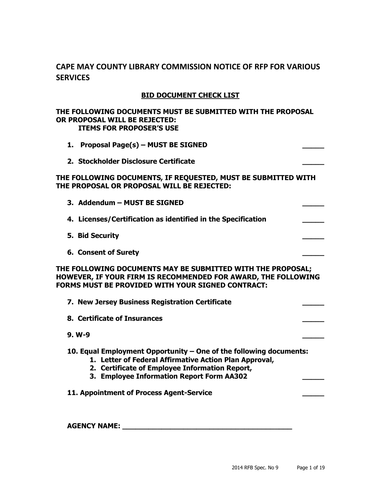# **CAPE MAY COUNTY LIBRARY COMMISSION NOTICE OF RFP FOR VARIOUS SERVICES**

## **BID DOCUMENT CHECK LIST**

#### **THE FOLLOWING DOCUMENTS MUST BE SUBMITTED WITH THE PROPOSAL OR PROPOSAL WILL BE REJECTED: ITEMS FOR PROPOSER'S USE**

**1. Proposal Page(s) – MUST BE SIGNED \_\_\_\_\_ 2. Stockholder Disclosure Certificate \_\_\_\_\_ THE FOLLOWING DOCUMENTS, IF REQUESTED, MUST BE SUBMITTED WITH THE PROPOSAL OR PROPOSAL WILL BE REJECTED: 3. Addendum – MUST BE SIGNED \_\_\_\_\_ 4. Licenses/Certification as identified in the Specification \_\_\_\_\_ 5. Bid Security \_\_\_\_\_ 6. Consent of Surety \_\_\_\_\_ THE FOLLOWING DOCUMENTS MAY BE SUBMITTED WITH THE PROPOSAL; HOWEVER, IF YOUR FIRM IS RECOMMENDED FOR AWARD, THE FOLLOWING FORMS MUST BE PROVIDED WITH YOUR SIGNED CONTRACT: 7. New Jersey Business Registration Certificate \_\_\_\_\_ 8. Certificate of Insurances \_\_\_\_\_ 9. W-9 \_\_\_\_\_ 10. Equal Employment Opportunity – One of the following documents: 1. Letter of Federal Affirmative Action Plan Approval, 2. Certificate of Employee Information Report, 3. Employee Information Report Form AA302 \_\_\_\_\_ 11. Appointment of Process Agent-Service \_\_\_\_\_ AGENCY NAME: \_\_\_\_\_\_\_\_\_\_\_\_\_\_\_\_\_\_\_\_\_\_\_\_\_\_\_\_\_\_\_\_\_\_\_\_\_\_\_**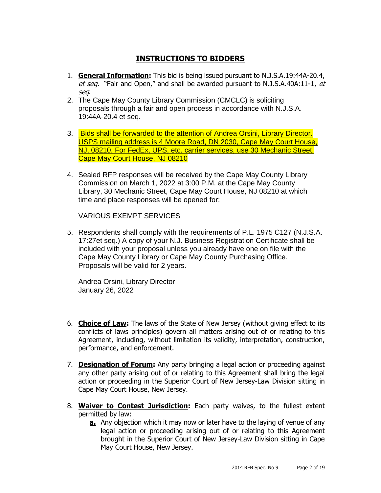# **INSTRUCTIONS TO BIDDERS**

- 1. **General Information:** This bid is being issued pursuant to N.J.S.A.19:44A-20.4, et seq. "Fair and Open," and shall be awarded pursuant to N.J.S.A.40A:11-1, et seq.
- 2. The Cape May County Library Commission (CMCLC) is soliciting proposals through a fair and open process in accordance with N.J.S.A. 19:44A-20.4 et seq.
- 3. Bids shall be forwarded to the attention of Andrea Orsini, Library Director. USPS mailing address is 4 Moore Road, DN 2030, Cape May Court House, NJ, 08210. For FedEx, UPS, etc. carrier services, use 30 Mechanic Street, Cape May Court House, NJ 08210
- 4. Sealed RFP responses will be received by the Cape May County Library Commission on March 1, 2022 at 3:00 P.M. at the Cape May County Library, 30 Mechanic Street, Cape May Court House, NJ 08210 at which time and place responses will be opened for:

VARIOUS EXEMPT SERVICES

5. Respondents shall comply with the requirements of P.L. 1975 C127 (N.J.S.A. 17:27et seq.) A copy of your N.J. Business Registration Certificate shall be included with your proposal unless you already have one on file with the Cape May County Library or Cape May County Purchasing Office. Proposals will be valid for 2 years.

Andrea Orsini, Library Director January 26, 2022

- 6. **Choice of Law:** The laws of the State of New Jersey (without giving effect to its conflicts of laws principles) govern all matters arising out of or relating to this Agreement, including, without limitation its validity, interpretation, construction, performance, and enforcement.
- 7. **Designation of Forum:** Any party bringing a legal action or proceeding against any other party arising out of or relating to this Agreement shall bring the legal action or proceeding in the Superior Court of New Jersey-Law Division sitting in Cape May Court House, New Jersey.
- 8. **Waiver to Contest Jurisdiction:** Each party waives, to the fullest extent permitted by law:
	- **a.** Any objection which it may now or later have to the laying of venue of any legal action or proceeding arising out of or relating to this Agreement brought in the Superior Court of New Jersey-Law Division sitting in Cape May Court House, New Jersey.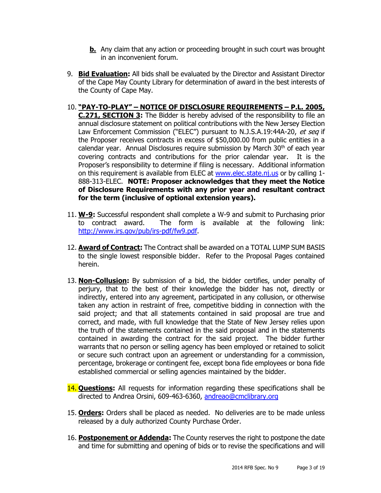- **b.** Any claim that any action or proceeding brought in such court was brought in an inconvenient forum.
- 9. **Bid Evaluation:** All bids shall be evaluated by the Director and Assistant Director of the Cape May County Library for determination of award in the best interests of the County of Cape May.
- 10. **"PAY-TO-PLAY" – NOTICE OF DISCLOSURE REQUIREMENTS – P.L. 2005, C.271, SECTION 3:** The Bidder is hereby advised of the responsibility to file an annual disclosure statement on political contributions with the New Jersey Election Law Enforcement Commission ("ELEC") pursuant to N.J.S.A.19:44A-20, et seq if the Proposer receives contracts in excess of \$50,000.00 from public entities in a calendar year. Annual Disclosures require submission by March  $30<sup>th</sup>$  of each year covering contracts and contributions for the prior calendar year. It is the Proposer's responsibility to determine if filing is necessary. Additional information on this requirement is available from ELEC at [www.elec.state.nj.us](http://www.elec.state.nj.us/) or by calling 1- 888-313-ELEC. **NOTE: Proposer acknowledges that they meet the Notice of Disclosure Requirements with any prior year and resultant contract for the term (inclusive of optional extension years).**
- 11. **W-9:** Successful respondent shall complete a W-9 and submit to Purchasing prior to contract award. The form is available at the following link: [http://www.irs.gov/pub/irs-pdf/fw9.pdf.](http://www.irs.gov/pub/irs-pdf/fw9.pdf)
- 12. **Award of Contract:** The Contract shall be awarded on a TOTAL LUMP SUM BASIS to the single lowest responsible bidder. Refer to the Proposal Pages contained herein.
- 13. **Non-Collusion:** By submission of a bid, the bidder certifies, under penalty of perjury, that to the best of their knowledge the bidder has not, directly or indirectly, entered into any agreement, participated in any collusion, or otherwise taken any action in restraint of free, competitive bidding in connection with the said project; and that all statements contained in said proposal are true and correct, and made, with full knowledge that the State of New Jersey relies upon the truth of the statements contained in the said proposal and in the statements contained in awarding the contract for the said project. The bidder further warrants that no person or selling agency has been employed or retained to solicit or secure such contract upon an agreement or understanding for a commission, percentage, brokerage or contingent fee, except bona fide employees or bona fide established commercial or selling agencies maintained by the bidder.
- 14. **Questions:** All requests for information regarding these specifications shall be directed to Andrea Orsini, 609-463-6360, [andreao@cmclibrary.org](mailto:andreao@cmclibrary.org)
- 15. **Orders:** Orders shall be placed as needed. No deliveries are to be made unless released by a duly authorized County Purchase Order.
- 16. **Postponement or Addenda:** The County reserves the right to postpone the date and time for submitting and opening of bids or to revise the specifications and will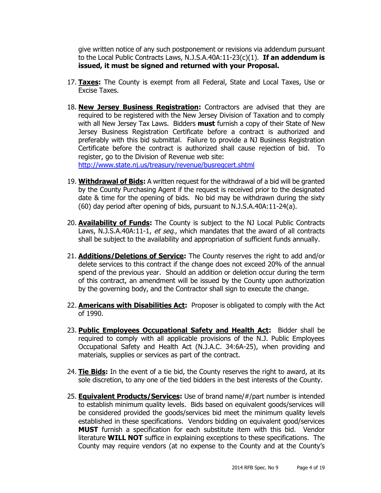give written notice of any such postponement or revisions via addendum pursuant to the Local Public Contracts Laws, N.J.S.A.40A:11-23(c)(1). **If an addendum is issued, it must be signed and returned with your Proposal.**

- 17. **Taxes:** The County is exempt from all Federal, State and Local Taxes, Use or Excise Taxes.
- 18. **New Jersey Business Registration:** Contractors are advised that they are required to be registered with the New Jersey Division of Taxation and to comply with all New Jersey Tax Laws. Bidders **must** furnish a copy of their State of New Jersey Business Registration Certificate before a contract is authorized and preferably with this bid submittal. Failure to provide a NJ Business Registration Certificate before the contract is authorized shall cause rejection of bid. To register, go to the Division of Revenue web site:

<http://www.state.nj.us/treasury/revenue/busregcert.shtml>

- 19. **Withdrawal of Bids:** A written request for the withdrawal of a bid will be granted by the County Purchasing Agent if the request is received prior to the designated date & time for the opening of bids. No bid may be withdrawn during the sixty (60) day period after opening of bids, pursuant to N.J.S.A.40A:11-24(a).
- 20. **Availability of Funds:** The County is subject to the NJ Local Public Contracts Laws, N.J.S.A.40A:11-1, et seq., which mandates that the award of all contracts shall be subject to the availability and appropriation of sufficient funds annually.
- 21. **Additions/Deletions of Service:** The County reserves the right to add and/or delete services to this contract if the change does not exceed 20% of the annual spend of the previous year. Should an addition or deletion occur during the term of this contract, an amendment will be issued by the County upon authorization by the governing body, and the Contractor shall sign to execute the change.
- 22. **Americans with Disabilities Act:** Proposer is obligated to comply with the Act of 1990.
- 23. **Public Employees Occupational Safety and Health Act:** Bidder shall be required to comply with all applicable provisions of the N.J. Public Employees Occupational Safety and Health Act (N.J.A.C. 34:6A-25), when providing and materials, supplies or services as part of the contract.
- 24. **Tie Bids:** In the event of a tie bid, the County reserves the right to award, at its sole discretion, to any one of the tied bidders in the best interests of the County.
- 25. **Equivalent Products/Services:** Use of brand name/#/part number is intended to establish minimum quality levels. Bids based on equivalent goods/services will be considered provided the goods/services bid meet the minimum quality levels established in these specifications. Vendors bidding on equivalent good/services **MUST** furnish a specification for each substitute item with this bid. Vendor literature **WILL NOT** suffice in explaining exceptions to these specifications. The County may require vendors (at no expense to the County and at the County's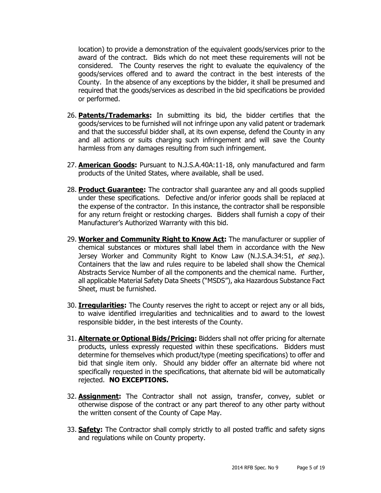location) to provide a demonstration of the equivalent goods/services prior to the award of the contract. Bids which do not meet these requirements will not be considered. The County reserves the right to evaluate the equivalency of the goods/services offered and to award the contract in the best interests of the County. In the absence of any exceptions by the bidder, it shall be presumed and required that the goods/services as described in the bid specifications be provided or performed.

- 26. **Patents/Trademarks:** In submitting its bid, the bidder certifies that the goods/services to be furnished will not infringe upon any valid patent or trademark and that the successful bidder shall, at its own expense, defend the County in any and all actions or suits charging such infringement and will save the County harmless from any damages resulting from such infringement.
- 27. **American Goods:** Pursuant to N.J.S.A.40A:11-18, only manufactured and farm products of the United States, where available, shall be used.
- 28. **Product Guarantee:** The contractor shall guarantee any and all goods supplied under these specifications. Defective and/or inferior goods shall be replaced at the expense of the contractor. In this instance, the contractor shall be responsible for any return freight or restocking charges. Bidders shall furnish a copy of their Manufacturer's Authorized Warranty with this bid.
- 29. **Worker and Community Right to Know Act:** The manufacturer or supplier of chemical substances or mixtures shall label them in accordance with the New Jersey Worker and Community Right to Know Law (N.J.S.A.34:51, et seq.). Containers that the law and rules require to be labeled shall show the Chemical Abstracts Service Number of all the components and the chemical name. Further, all applicable Material Safety Data Sheets ("MSDS"), aka Hazardous Substance Fact Sheet, must be furnished.
- 30. **Irregularities:** The County reserves the right to accept or reject any or all bids, to waive identified irregularities and technicalities and to award to the lowest responsible bidder, in the best interests of the County.
- 31. **Alternate or Optional Bids/Pricing:** Bidders shall not offer pricing for alternate products, unless expressly requested within these specifications. Bidders must determine for themselves which product/type (meeting specifications) to offer and bid that single item only. Should any bidder offer an alternate bid where not specifically requested in the specifications, that alternate bid will be automatically rejected. **NO EXCEPTIONS.**
- 32. **Assignment:** The Contractor shall not assign, transfer, convey, sublet or otherwise dispose of the contract or any part thereof to any other party without the written consent of the County of Cape May.
- 33. **Safety:** The Contractor shall comply strictly to all posted traffic and safety signs and regulations while on County property.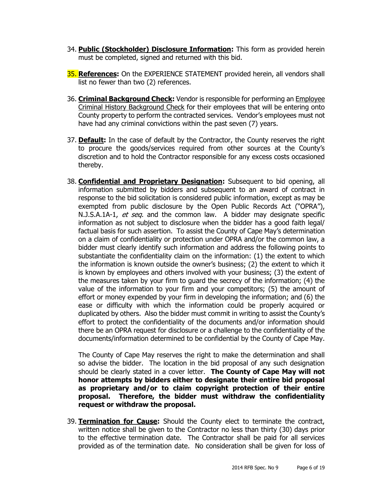- 34. **Public (Stockholder) Disclosure Information:** This form as provided herein must be completed, signed and returned with this bid.
- 35. **References:** On the EXPERIENCE STATEMENT provided herein, all vendors shall list no fewer than two (2) references.
- 36. **Criminal Background Check:** Vendor is responsible for performing an Employee Criminal History Background Check for their employees that will be entering onto County property to perform the contracted services. Vendor's employees must not have had any criminal convictions within the past seven (7) years.
- 37. **Default:** In the case of default by the Contractor, the County reserves the right to procure the goods/services required from other sources at the County's discretion and to hold the Contractor responsible for any excess costs occasioned thereby.
- 38. **Confidential and Proprietary Designation:** Subsequent to bid opening, all information submitted by bidders and subsequent to an award of contract in response to the bid solicitation is considered public information, except as may be exempted from public disclosure by the Open Public Records Act ("OPRA"), N.J.S.A.1A-1, et seq. and the common law. A bidder may designate specific information as not subject to disclosure when the bidder has a good faith legal/ factual basis for such assertion. To assist the County of Cape May's determination on a claim of confidentiality or protection under OPRA and/or the common law, a bidder must clearly identify such information and address the following points to substantiate the confidentiality claim on the information: (1) the extent to which the information is known outside the owner's business; (2) the extent to which it is known by employees and others involved with your business; (3) the extent of the measures taken by your firm to guard the secrecy of the information; (4) the value of the information to your firm and your competitors; (5) the amount of effort or money expended by your firm in developing the information; and (6) the ease or difficulty with which the information could be properly acquired or duplicated by others. Also the bidder must commit in writing to assist the County's effort to protect the confidentiality of the documents and/or information should there be an OPRA request for disclosure or a challenge to the confidentiality of the documents/information determined to be confidential by the County of Cape May.

The County of Cape May reserves the right to make the determination and shall so advise the bidder. The location in the bid proposal of any such designation should be clearly stated in a cover letter. **The County of Cape May will not honor attempts by bidders either to designate their entire bid proposal as proprietary and/or to claim copyright protection of their entire proposal. Therefore, the bidder must withdraw the confidentiality request or withdraw the proposal.**

39. **Termination for Cause:** Should the County elect to terminate the contract, written notice shall be given to the Contractor no less than thirty (30) days prior to the effective termination date. The Contractor shall be paid for all services provided as of the termination date. No consideration shall be given for loss of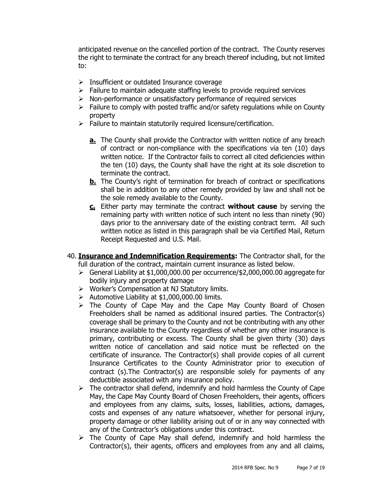anticipated revenue on the cancelled portion of the contract. The County reserves the right to terminate the contract for any breach thereof including, but not limited to:

- $\triangleright$  Insufficient or outdated Insurance coverage
- $\triangleright$  Failure to maintain adequate staffing levels to provide required services
- $\triangleright$  Non-performance or unsatisfactory performance of required services
- $\triangleright$  Failure to comply with posted traffic and/or safety regulations while on County property
- $\triangleright$  Failure to maintain statutorily required licensure/certification.
	- **a.** The County shall provide the Contractor with written notice of any breach of contract or non-compliance with the specifications via ten (10) days written notice. If the Contractor fails to correct all cited deficiencies within the ten (10) days, the County shall have the right at its sole discretion to terminate the contract.
	- **b.** The County's right of termination for breach of contract or specifications shall be in addition to any other remedy provided by law and shall not be the sole remedy available to the County.
	- **c.** Either party may terminate the contract **without cause** by serving the remaining party with written notice of such intent no less than ninety (90) days prior to the anniversary date of the existing contract term. All such written notice as listed in this paragraph shall be via Certified Mail, Return Receipt Requested and U.S. Mail.
- 40. **Insurance and Indemnification Requirements:** The Contractor shall, for the full duration of the contract, maintain current insurance as listed below.
	- General Liability at \$1,000,000.00 per occurrence/\$2,000,000.00 aggregate for bodily injury and property damage
	- $\triangleright$  Worker's Compensation at NJ Statutory limits.
	- $\triangleright$  Automotive Liability at \$1,000,000.00 limits.
	- $\triangleright$  The County of Cape May and the Cape May County Board of Chosen Freeholders shall be named as additional insured parties. The Contractor(s) coverage shall be primary to the County and not be contributing with any other insurance available to the County regardless of whether any other insurance is primary, contributing or excess. The County shall be given thirty (30) days written notice of cancellation and said notice must be reflected on the certificate of insurance. The Contractor(s) shall provide copies of all current Insurance Certificates to the County Administrator prior to execution of contract (s).The Contractor(s) are responsible solely for payments of any deductible associated with any insurance policy.
	- $\triangleright$  The contractor shall defend, indemnify and hold harmless the County of Cape May, the Cape May County Board of Chosen Freeholders, their agents, officers and employees from any claims, suits, losses, liabilities, actions, damages, costs and expenses of any nature whatsoever, whether for personal injury, property damage or other liability arising out of or in any way connected with any of the Contractor's obligations under this contract.
	- $\triangleright$  The County of Cape May shall defend, indemnify and hold harmless the Contractor(s), their agents, officers and employees from any and all claims,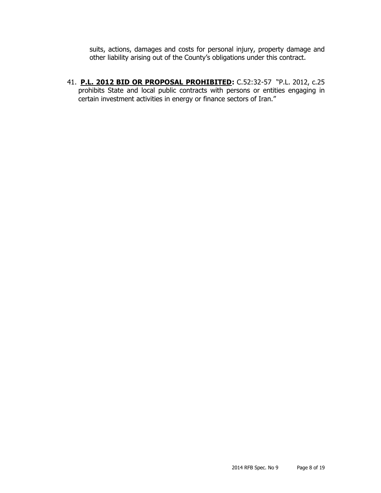suits, actions, damages and costs for personal injury, property damage and other liability arising out of the County's obligations under this contract.

41. **P.L. 2012 BID OR PROPOSAL PROHIBITED:** C.52:32-57 "P.L. 2012, c.25 prohibits State and local public contracts with persons or entities engaging in certain investment activities in energy or finance sectors of Iran."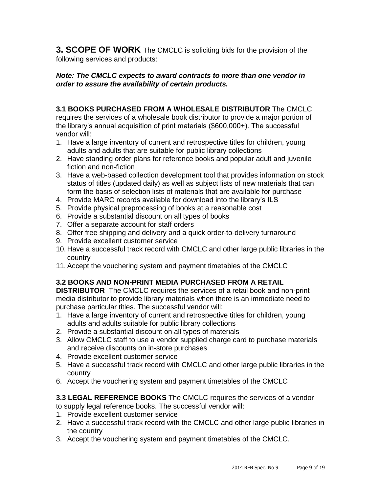**3. SCOPE OF WORK** The CMCLC is soliciting bids for the provision of the following services and products:

## *Note: The CMCLC expects to award contracts to more than one vendor in order to assure the availability of certain products.*

## **3.1 BOOKS PURCHASED FROM A WHOLESALE DISTRIBUTOR** The CMCLC

requires the services of a wholesale book distributor to provide a major portion of the library's annual acquisition of print materials (\$600,000+). The successful vendor will:

- 1. Have a large inventory of current and retrospective titles for children, young adults and adults that are suitable for public library collections
- 2. Have standing order plans for reference books and popular adult and juvenile fiction and non-fiction
- 3. Have a web-based collection development tool that provides information on stock status of titles (updated daily) as well as subject lists of new materials that can form the basis of selection lists of materials that are available for purchase
- 4. Provide MARC records available for download into the library's ILS
- 5. Provide physical preprocessing of books at a reasonable cost
- 6. Provide a substantial discount on all types of books
- 7. Offer a separate account for staff orders
- 8. Offer free shipping and delivery and a quick order-to-delivery turnaround
- 9. Provide excellent customer service
- 10. Have a successful track record with CMCLC and other large public libraries in the country
- 11. Accept the vouchering system and payment timetables of the CMCLC

## **3.2 BOOKS AND NON-PRINT MEDIA PURCHASED FROM A RETAIL**

**DISTRIBUTOR** The CMCLC requires the services of a retail book and non-print media distributor to provide library materials when there is an immediate need to purchase particular titles. The successful vendor will:

- 1. Have a large inventory of current and retrospective titles for children, young adults and adults suitable for public library collections
- 2. Provide a substantial discount on all types of materials
- 3. Allow CMCLC staff to use a vendor supplied charge card to purchase materials and receive discounts on in-store purchases
- 4. Provide excellent customer service
- 5. Have a successful track record with CMCLC and other large public libraries in the country
- 6. Accept the vouchering system and payment timetables of the CMCLC

## **3.3 LEGAL REFERENCE BOOKS** The CMCLC requires the services of a vendor to supply legal reference books. The successful vendor will:

- 1. Provide excellent customer service
- 2. Have a successful track record with the CMCLC and other large public libraries in the country
- 3. Accept the vouchering system and payment timetables of the CMCLC.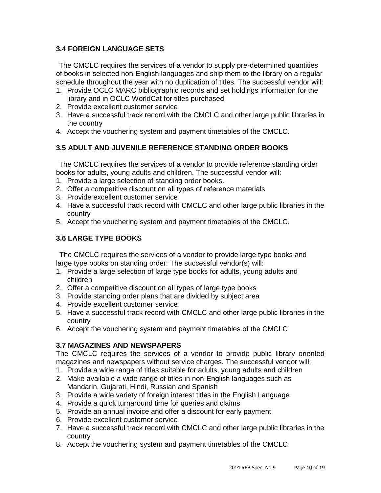## **3.4 FOREIGN LANGUAGE SETS**

The CMCLC requires the services of a vendor to supply pre-determined quantities of books in selected non-English languages and ship them to the library on a regular schedule throughout the year with no duplication of titles. The successful vendor will:

- 1. Provide OCLC MARC bibliographic records and set holdings information for the library and in OCLC WorldCat for titles purchased
- 2. Provide excellent customer service
- 3. Have a successful track record with the CMCLC and other large public libraries in the country
- 4. Accept the vouchering system and payment timetables of the CMCLC.

## **3.5 ADULT AND JUVENILE REFERENCE STANDING ORDER BOOKS**

The CMCLC requires the services of a vendor to provide reference standing order books for adults, young adults and children. The successful vendor will:

- 1. Provide a large selection of standing order books.
- 2. Offer a competitive discount on all types of reference materials
- 3. Provide excellent customer service
- 4. Have a successful track record with CMCLC and other large public libraries in the country
- 5. Accept the vouchering system and payment timetables of the CMCLC.

## **3.6 LARGE TYPE BOOKS**

The CMCLC requires the services of a vendor to provide large type books and large type books on standing order. The successful vendor(s) will:

- 1. Provide a large selection of large type books for adults, young adults and children
- 2. Offer a competitive discount on all types of large type books
- 3. Provide standing order plans that are divided by subject area
- 4. Provide excellent customer service
- 5. Have a successful track record with CMCLC and other large public libraries in the country
- 6. Accept the vouchering system and payment timetables of the CMCLC

## **3.7 MAGAZINES AND NEWSPAPERS**

The CMCLC requires the services of a vendor to provide public library oriented magazines and newspapers without service charges. The successful vendor will:

- 1. Provide a wide range of titles suitable for adults, young adults and children
- 2. Make available a wide range of titles in non-English languages such as Mandarin, Gujarati, Hindi, Russian and Spanish
- 3. Provide a wide variety of foreign interest titles in the English Language
- 4. Provide a quick turnaround time for queries and claims
- 5. Provide an annual invoice and offer a discount for early payment
- 6. Provide excellent customer service
- 7. Have a successful track record with CMCLC and other large public libraries in the country
- 8. Accept the vouchering system and payment timetables of the CMCLC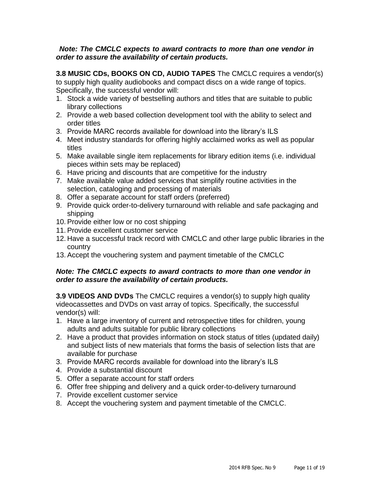### *Note: The CMCLC expects to award contracts to more than one vendor in order to assure the availability of certain products.*

**3.8 MUSIC CDs, BOOKS ON CD, AUDIO TAPES** The CMCLC requires a vendor(s) to supply high quality audiobooks and compact discs on a wide range of topics. Specifically, the successful vendor will:

- 1. Stock a wide variety of bestselling authors and titles that are suitable to public library collections
- 2. Provide a web based collection development tool with the ability to select and order titles
- 3. Provide MARC records available for download into the library's ILS
- 4. Meet industry standards for offering highly acclaimed works as well as popular titles
- 5. Make available single item replacements for library edition items (i.e. individual pieces within sets may be replaced)
- 6. Have pricing and discounts that are competitive for the industry
- 7. Make available value added services that simplify routine activities in the selection, cataloging and processing of materials
- 8. Offer a separate account for staff orders (preferred)
- 9. Provide quick order-to-delivery turnaround with reliable and safe packaging and shipping
- 10. Provide either low or no cost shipping
- 11. Provide excellent customer service
- 12. Have a successful track record with CMCLC and other large public libraries in the country
- 13. Accept the vouchering system and payment timetable of the CMCLC

## *Note: The CMCLC expects to award contracts to more than one vendor in order to assure the availability of certain products.*

**3.9 VIDEOS AND DVDs** The CMCLC requires a vendor(s) to supply high quality videocassettes and DVDs on vast array of topics. Specifically, the successful vendor(s) will:

- 1. Have a large inventory of current and retrospective titles for children, young adults and adults suitable for public library collections
- 2. Have a product that provides information on stock status of titles (updated daily) and subject lists of new materials that forms the basis of selection lists that are available for purchase
- 3. Provide MARC records available for download into the library's ILS
- 4. Provide a substantial discount
- 5. Offer a separate account for staff orders
- 6. Offer free shipping and delivery and a quick order-to-delivery turnaround
- 7. Provide excellent customer service
- 8. Accept the vouchering system and payment timetable of the CMCLC.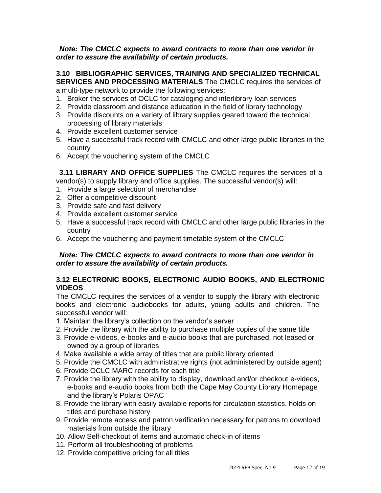#### *Note: The CMCLC expects to award contracts to more than one vendor in order to assure the availability of certain products.*

**3.10 BIBLIOGRAPHIC SERVICES, TRAINING AND SPECIALIZED TECHNICAL SERVICES AND PROCESSING MATERIALS** The CMCLC requires the services of

a multi-type network to provide the following services:

- 1. Broker the services of OCLC for cataloging and interlibrary loan services
- 2. Provide classroom and distance education in the field of library technology
- 3. Provide discounts on a variety of library supplies geared toward the technical processing of library materials
- 4. Provide excellent customer service
- 5. Have a successful track record with CMCLC and other large public libraries in the country
- 6. Accept the vouchering system of the CMCLC

**3.11 LIBRARY AND OFFICE SUPPLIES** The CMCLC requires the services of a vendor(s) to supply library and office supplies. The successful vendor(s) will:

- 1. Provide a large selection of merchandise
- 2. Offer a competitive discount
- 3. Provide safe and fast delivery
- 4. Provide excellent customer service
- 5. Have a successful track record with CMCLC and other large public libraries in the country
- 6. Accept the vouchering and payment timetable system of the CMCLC

### *Note: The CMCLC expects to award contracts to more than one vendor in order to assure the availability of certain products.*

## **3.12 ELECTRONIC BOOKS, ELECTRONIC AUDIO BOOKS, AND ELECTRONIC VIDEOS**

The CMCLC requires the services of a vendor to supply the library with electronic books and electronic audiobooks for adults, young adults and children. The successful vendor will:

- 1. Maintain the library's collection on the vendor's server
- 2. Provide the library with the ability to purchase multiple copies of the same title
- 3. Provide e-videos, e-books and e-audio books that are purchased, not leased or owned by a group of libraries
- 4. Make available a wide array of titles that are public library oriented
- 5. Provide the CMCLC with administrative rights (not administered by outside agent)
- 6. Provide OCLC MARC records for each title
- 7. Provide the library with the ability to display, download and/or checkout e-videos, e-books and e-audio books from both the Cape May County Library Homepage and the library's Polaris OPAC
- 8. Provide the library with easily available reports for circulation statistics, holds on titles and purchase history
- 9. Provide remote access and patron verification necessary for patrons to download materials from outside the library
- 10. Allow Self-checkout of items and automatic check-in of items
- 11. Perform all troubleshooting of problems
- 12. Provide competitive pricing for all titles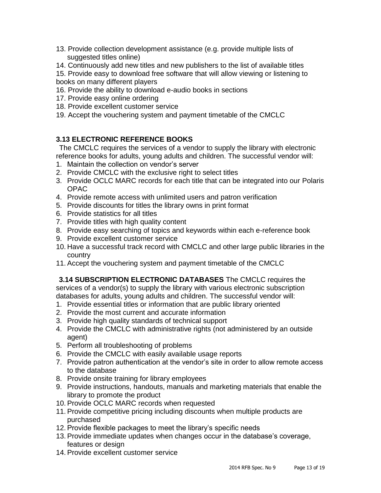- 13. Provide collection development assistance (e.g. provide multiple lists of suggested titles online)
- 14. Continuously add new titles and new publishers to the list of available titles
- 15. Provide easy to download free software that will allow viewing or listening to books on many different players
- 16. Provide the ability to download e-audio books in sections
- 17. Provide easy online ordering
- 18. Provide excellent customer service
- 19. Accept the vouchering system and payment timetable of the CMCLC

# **3.13 ELECTRONIC REFERENCE BOOKS**

The CMCLC requires the services of a vendor to supply the library with electronic reference books for adults, young adults and children. The successful vendor will:

- 1. Maintain the collection on vendor's server
- 2. Provide CMCLC with the exclusive right to select titles
- 3. Provide OCLC MARC records for each title that can be integrated into our Polaris OPAC
- 4. Provide remote access with unlimited users and patron verification
- 5. Provide discounts for titles the library owns in print format
- 6. Provide statistics for all titles
- 7. Provide titles with high quality content
- 8. Provide easy searching of topics and keywords within each e-reference book
- 9. Provide excellent customer service
- 10. Have a successful track record with CMCLC and other large public libraries in the country
- 11. Accept the vouchering system and payment timetable of the CMCLC

**3.14 SUBSCRIPTION ELECTRONIC DATABASES** The CMCLC requires the services of a vendor(s) to supply the library with various electronic subscription databases for adults, young adults and children. The successful vendor will:

- 1. Provide essential titles or information that are public library oriented
- 2. Provide the most current and accurate information
- 3. Provide high quality standards of technical support
- 4. Provide the CMCLC with administrative rights (not administered by an outside agent)
- 5. Perform all troubleshooting of problems
- 6. Provide the CMCLC with easily available usage reports
- 7. Provide patron authentication at the vendor's site in order to allow remote access to the database
- 8. Provide onsite training for library employees
- 9. Provide instructions, handouts, manuals and marketing materials that enable the library to promote the product
- 10. Provide OCLC MARC records when requested
- 11. Provide competitive pricing including discounts when multiple products are purchased
- 12. Provide flexible packages to meet the library's specific needs
- 13. Provide immediate updates when changes occur in the database's coverage, features or design
- 14. Provide excellent customer service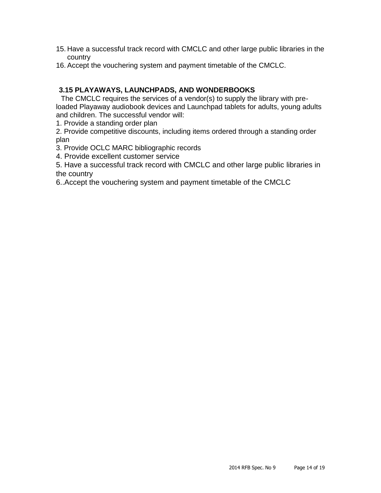- 15. Have a successful track record with CMCLC and other large public libraries in the country
- 16. Accept the vouchering system and payment timetable of the CMCLC.

## **3.15 PLAYAWAYS, LAUNCHPADS, AND WONDERBOOKS**

The CMCLC requires the services of a vendor(s) to supply the library with preloaded Playaway audiobook devices and Launchpad tablets for adults, young adults and children. The successful vendor will:

1. Provide a standing order plan

2. Provide competitive discounts, including items ordered through a standing order plan

3. Provide OCLC MARC bibliographic records

4. Provide excellent customer service

5. Have a successful track record with CMCLC and other large public libraries in the country

6..Accept the vouchering system and payment timetable of the CMCLC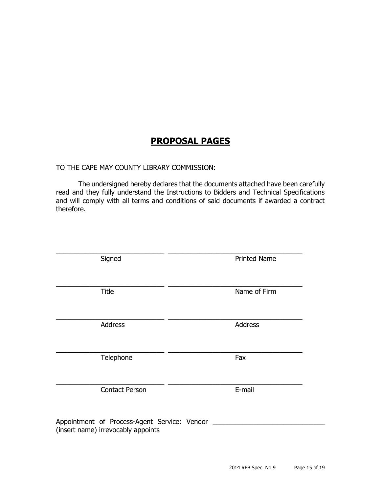# **PROPOSAL PAGES**

### TO THE CAPE MAY COUNTY LIBRARY COMMISSION:

The undersigned hereby declares that the documents attached have been carefully read and they fully understand the Instructions to Bidders and Technical Specifications and will comply with all terms and conditions of said documents if awarded a contract therefore.

| Signed                                                                             | <b>Printed Name</b> |  |  |
|------------------------------------------------------------------------------------|---------------------|--|--|
| <b>Title</b>                                                                       | Name of Firm        |  |  |
| Address                                                                            | Address             |  |  |
| Telephone                                                                          | Fax                 |  |  |
| <b>Contact Person</b>                                                              | E-mail              |  |  |
| Appointment of Process-Agent Service: Vendor<br>(insert name) irrevocably appoints |                     |  |  |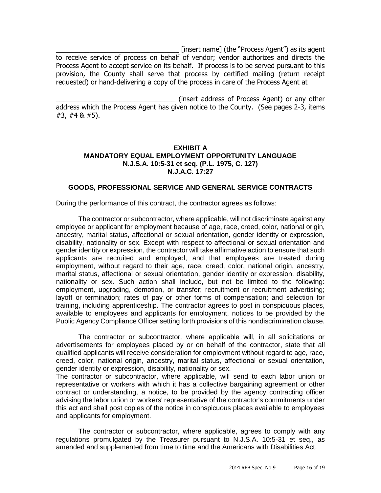\_\_\_\_\_\_\_\_\_\_\_\_\_\_\_\_\_\_\_\_\_\_\_\_\_\_\_\_\_\_\_\_\_ [insert name] (the "Process Agent") as its agent to receive service of process on behalf of vendor; vendor authorizes and directs the Process Agent to accept service on its behalf. If process is to be served pursuant to this provision, the County shall serve that process by certified mailing (return receipt requested) or hand-delivering a copy of the process in care of the Process Agent at

\_\_\_\_\_\_\_\_\_\_\_\_\_\_\_\_\_\_\_\_\_\_\_\_\_\_\_\_\_\_\_\_ (insert address of Process Agent) or any other address which the Process Agent has given notice to the County. (See pages 2-3, items #3, #4 & #5).

#### **EXHIBIT A MANDATORY EQUAL EMPLOYMENT OPPORTUNITY LANGUAGE N.J.S.A. 10:5-31 et seq. (P.L. 1975, C. 127) N.J.A.C. 17:27**

#### **GOODS, PROFESSIONAL SERVICE AND GENERAL SERVICE CONTRACTS**

During the performance of this contract, the contractor agrees as follows:

The contractor or subcontractor, where applicable, will not discriminate against any employee or applicant for employment because of age, race, creed, color, national origin, ancestry, marital status, affectional or sexual orientation, gender identity or expression, disability, nationality or sex. Except with respect to affectional or sexual orientation and gender identity or expression, the contractor will take affirmative action to ensure that such applicants are recruited and employed, and that employees are treated during employment, without regard to their age, race, creed, color, national origin, ancestry, marital status, affectional or sexual orientation, gender identity or expression, disability, nationality or sex. Such action shall include, but not be limited to the following: employment, upgrading, demotion, or transfer; recruitment or recruitment advertising; layoff or termination; rates of pay or other forms of compensation; and selection for training, including apprenticeship. The contractor agrees to post in conspicuous places, available to employees and applicants for employment, notices to be provided by the Public Agency Compliance Officer setting forth provisions of this nondiscrimination clause.

The contractor or subcontractor, where applicable will, in all solicitations or advertisements for employees placed by or on behalf of the contractor, state that all qualified applicants will receive consideration for employment without regard to age, race, creed, color, national origin, ancestry, marital status, affectional or sexual orientation, gender identity or expression, disability, nationality or sex.

The contractor or subcontractor, where applicable, will send to each labor union or representative or workers with which it has a collective bargaining agreement or other contract or understanding, a notice, to be provided by the agency contracting officer advising the labor union or workers' representative of the contractor's commitments under this act and shall post copies of the notice in conspicuous places available to employees and applicants for employment.

The contractor or subcontractor, where applicable, agrees to comply with any regulations promulgated by the Treasurer pursuant to N.J.S.A. 10:5-31 et seq., as amended and supplemented from time to time and the Americans with Disabilities Act.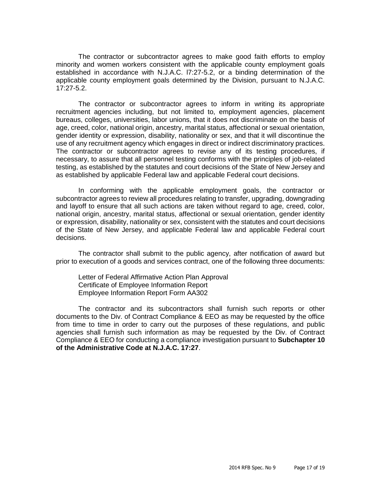The contractor or subcontractor agrees to make good faith efforts to employ minority and women workers consistent with the applicable county employment goals established in accordance with N.J.A.C. l7:27-5.2, or a binding determination of the applicable county employment goals determined by the Division, pursuant to N.J.A.C. 17:27-5.2.

The contractor or subcontractor agrees to inform in writing its appropriate recruitment agencies including, but not limited to, employment agencies, placement bureaus, colleges, universities, labor unions, that it does not discriminate on the basis of age, creed, color, national origin, ancestry, marital status, affectional or sexual orientation, gender identity or expression, disability, nationality or sex, and that it will discontinue the use of any recruitment agency which engages in direct or indirect discriminatory practices. The contractor or subcontractor agrees to revise any of its testing procedures, if necessary, to assure that all personnel testing conforms with the principles of job-related testing, as established by the statutes and court decisions of the State of New Jersey and as established by applicable Federal law and applicable Federal court decisions.

In conforming with the applicable employment goals, the contractor or subcontractor agrees to review all procedures relating to transfer, upgrading, downgrading and layoff to ensure that all such actions are taken without regard to age, creed, color, national origin, ancestry, marital status, affectional or sexual orientation, gender identity or expression, disability, nationality or sex, consistent with the statutes and court decisions of the State of New Jersey, and applicable Federal law and applicable Federal court decisions.

The contractor shall submit to the public agency, after notification of award but prior to execution of a goods and services contract, one of the following three documents:

Letter of Federal Affirmative Action Plan Approval Certificate of Employee Information Report Employee Information Report Form AA302

The contractor and its subcontractors shall furnish such reports or other documents to the Div. of Contract Compliance & EEO as may be requested by the office from time to time in order to carry out the purposes of these regulations, and public agencies shall furnish such information as may be requested by the Div. of Contract Compliance & EEO for conducting a compliance investigation pursuant to **Subchapter 10 of the Administrative Code at N.J.A.C. 17:27**.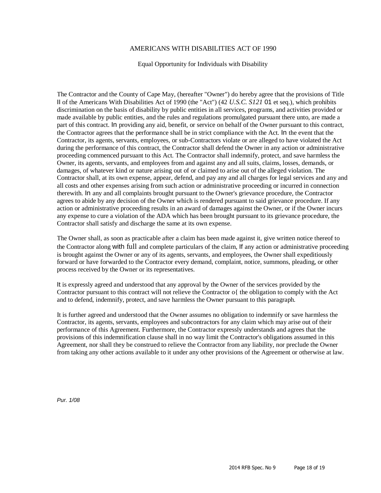#### AMERICANS WITH DISABILITIES ACT OF 1990

#### Equal Opportunity for Individuals with Disability

The Contractor and the County of Cape May, (hereafter "Owner") do hereby agree that the provisions of Title II of the Americans With Disabilities Act of 1990 (the "Act") (42 *U.S.C. S121* 01 et seq.), which prohibits discrimination on the basis of disability by public entities in all services, programs, and activities provided or made available by public entities, and the rules and regulations promulgated pursuant there unto, are made a part of this contract. In providing any aid, benefit, or service on behalf of the Owner pursuant to this contract, the Contractor agrees that the performance shall be in strict compliance with the Act. In the event that the Contractor, its agents, servants, employees, or sub-Contractors violate or are alleged to have violated the Act during the performance of this contract, the Contractor shall defend the Owner in any action or administrative proceeding commenced pursuant to this Act. The Contractor shall indemnify, protect, and save harmless the Owner, its agents, servants, and employees from and against any and all suits, claims, losses, demands, or damages, of whatever kind or nature arising out of or claimed to arise out of the alleged violation. The Contractor shall, at its own expense, appear, defend, and pay any and all charges for legal services and any and all costs and other expenses arising from such action or administrative proceeding or incurred in connection therewith. In any and all complaints brought pursuant to the Owner's grievance procedure, the Contractor agrees to abide by any decision of the Owner which is rendered pursuant to said grievance procedure. If any action or administrative proceeding results in an award of damages against the Owner, or if the Owner incurs any expense to cure a violation of the ADA which has been brought pursuant to its grievance procedure, the Contractor shall satisfy and discharge the same at its own expense.

The Owner shall, as soon as practicable after a claim has been made against it, give written notice thereof to the Contractor along with full and complete particulars of the claim, If any action or administrative proceeding is brought against the Owner or any of its agents, servants, and employees, the Owner shall expeditiously forward or have forwarded to the Contractor every demand, complaint, notice, summons, pleading, or other process received by the Owner or its representatives.

It is expressly agreed and understood that any approval by the Owner of the services provided by the Contractor pursuant to this contract will not relieve the Contractor o{ the obligation to comply with the Act and to defend, indemnify, protect, and save harmless the Owner pursuant to this paragraph.

It is further agreed and understood that the Owner assumes no obligation to indemnify or save harmless the Contractor, its agents, servants, employees and subcontractors for any claim which may arise out of their performance of this Agreement. Further more, the Contractor expressly understands and agrees that the provisions of this indemnification clause shall in no way limit the Contractor's obligations assumed in this Agreement, nor shall they be construed to relieve the Contractor from any liability, nor preclude the Owner from taking any other actions available to it under any other provisions of the Agreement or otherwise at law.

*Pur. 1/08*